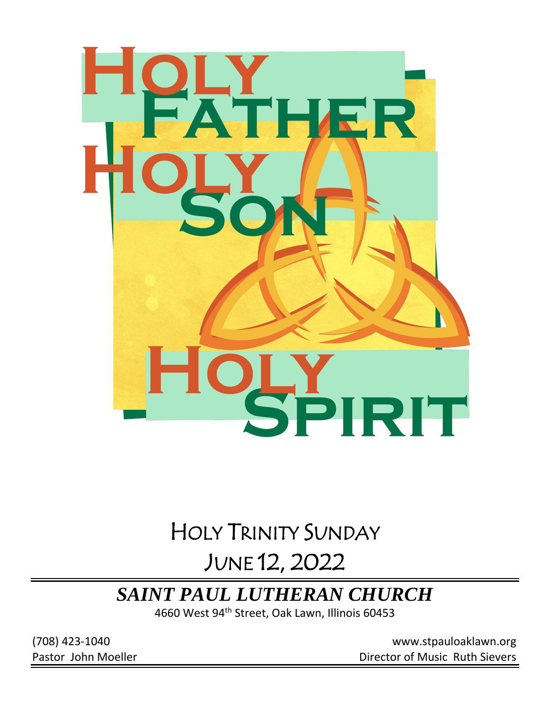

# HOLY TRINITY SUNDAY

# JUNE 12, 2022

# *SAINT PAUL LUTHERAN CHURCH*

4660 West 94th Street, Oak Lawn, Illinois 60453

(708) 423-1040 [www.stpauloaklawn.org](about:blank) Pastor John Moeller **Director of Music Ruth Sievers**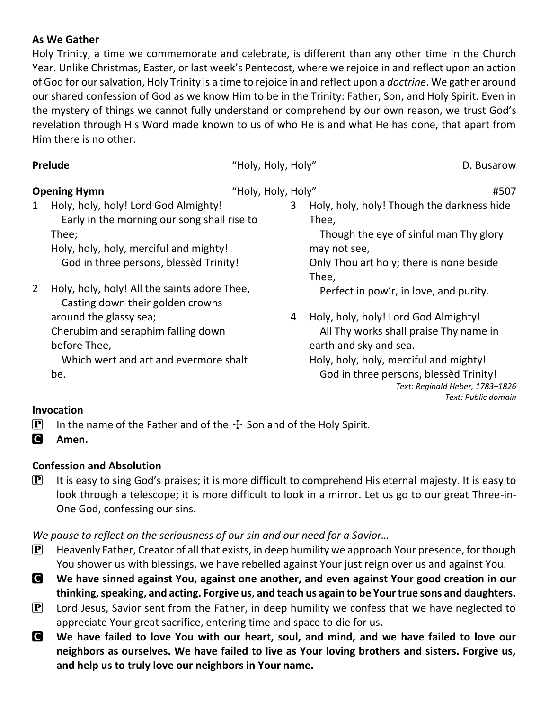### **As We Gather**

Holy Trinity, a time we commemorate and celebrate, is different than any other time in the Church Year. Unlike Christmas, Easter, or last week's Pentecost, where we rejoice in and reflect upon an action of God for our salvation, Holy Trinity is a time to rejoice in and reflect upon a *doctrine*. We gather around our shared confession of God as we know Him to be in the Trinity: Father, Son, and Holy Spirit. Even in the mystery of things we cannot fully understand or comprehend by our own reason, we trust God's revelation through His Word made known to us of who He is and what He has done, that apart from Him there is no other.

| Prelude                                                                                                                                                                               | "Holy, Holy, Holy" | D. Busarow                                                                                                                                                                                                                                             |
|---------------------------------------------------------------------------------------------------------------------------------------------------------------------------------------|--------------------|--------------------------------------------------------------------------------------------------------------------------------------------------------------------------------------------------------------------------------------------------------|
| <b>Opening Hymn</b>                                                                                                                                                                   | "Holy, Holy, Holy" | #507                                                                                                                                                                                                                                                   |
| Holy, holy, holy! Lord God Almighty!<br>1<br>Early in the morning our song shall rise to<br>Thee;<br>Holy, holy, holy, merciful and mighty!<br>God in three persons, blessed Trinity! | 3                  | Holy, holy, holy! Though the darkness hide<br>Thee,<br>Though the eye of sinful man Thy glory<br>may not see,<br>Only Thou art holy; there is none beside<br>Thee,                                                                                     |
| Holy, holy, holy! All the saints adore Thee,<br>$\overline{2}$<br>Casting down their golden crowns                                                                                    |                    | Perfect in pow'r, in love, and purity.                                                                                                                                                                                                                 |
| around the glassy sea;<br>Cherubim and seraphim falling down<br>before Thee,<br>Which wert and art and evermore shalt<br>be.                                                          | 4                  | Holy, holy, holy! Lord God Almighty!<br>All Thy works shall praise Thy name in<br>earth and sky and sea.<br>Holy, holy, holy, merciful and mighty!<br>God in three persons, blessed Trinity!<br>Text: Reginald Heber, 1783-1826<br>Text: Public domain |

### **Invocation**

- **P** In the name of the Father and of the  $\pm$  Son and of the Holy Spirit.
- C **Amen.**

### **Confession and Absolution**

 $\mathbf{P}$  It is easy to sing God's praises; it is more difficult to comprehend His eternal majesty. It is easy to look through a telescope; it is more difficult to look in a mirror. Let us go to our great Three-in-One God, confessing our sins.

*We pause to reflect on the seriousness of our sin and our need for a Savior…*

- $\mathbf{P}$  Heavenly Father, Creator of all that exists, in deep humility we approach Your presence, for though You shower us with blessings, we have rebelled against Your just reign over us and against You.
- C **We have sinned against You, against one another, and even against Your good creation in our thinking, speaking, and acting. Forgive us, and teach us again to be Your true sons and daughters.**
- $\mathbf{P}$  Lord Jesus, Savior sent from the Father, in deep humility we confess that we have neglected to appreciate Your great sacrifice, entering time and space to die for us.
- C **We have failed to love You with our heart, soul, and mind, and we have failed to love our neighbors as ourselves. We have failed to live as Your loving brothers and sisters. Forgive us, and help us to truly love our neighbors in Your name.**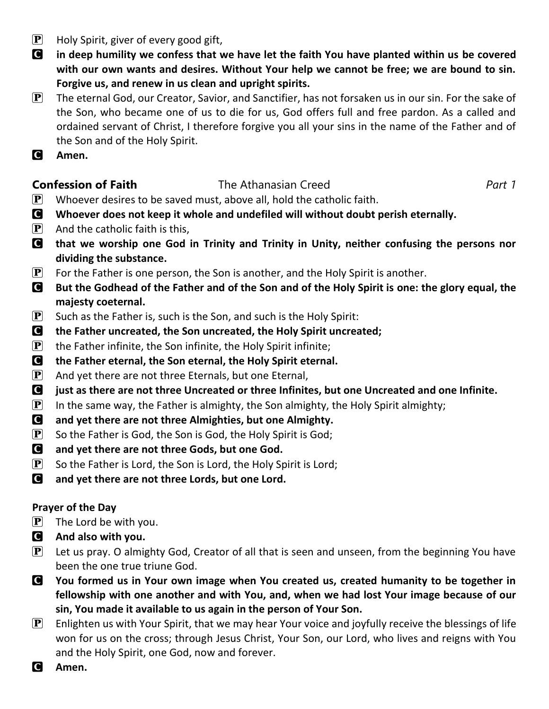- $\mathbf{P}$  Holy Spirit, giver of every good gift,
- C **in deep humility we confess that we have let the faith You have planted within us be covered with our own wants and desires. Without Your help we cannot be free; we are bound to sin. Forgive us, and renew in us clean and upright spirits.**
- $\mathbf{P}$  The eternal God, our Creator, Savior, and Sanctifier, has not forsaken us in our sin. For the sake of the Son, who became one of us to die for us, God offers full and free pardon. As a called and ordained servant of Christ, I therefore forgive you all your sins in the name of the Father and of the Son and of the Holy Spirit.
- C **Amen.**

### **Confession of Faith** The Athanasian Creed *Part 1*

- $\left[ \mathbf{P} \right]$  Whoever desires to be saved must, above all, hold the catholic faith.
- C **Whoever does not keep it whole and undefiled will without doubt perish eternally.**
- $\left[ \mathbf{P} \right]$  And the catholic faith is this,
- C **that we worship one God in Trinity and Trinity in Unity, neither confusing the persons nor dividing the substance.**
- **P** For the Father is one person, the Son is another, and the Holy Spirit is another.
- C **But the Godhead of the Father and of the Son and of the Holy Spirit is one: the glory equal, the majesty coeternal.**
- **P** Such as the Father is, such is the Son, and such is the Holy Spirit:
- C **the Father uncreated, the Son uncreated, the Holy Spirit uncreated;**
- $\left[ \mathbf{P} \right]$  the Father infinite, the Son infinite, the Holy Spirit infinite;
- C **the Father eternal, the Son eternal, the Holy Spirit eternal.**
- $\mathbf{P}$  And yet there are not three Eternals, but one Eternal,
- C **just as there are not three Uncreated or three Infinites, but one Uncreated and one Infinite.**
- $\left[\mathbf{P}\right]$  In the same way, the Father is almighty, the Son almighty, the Holy Spirit almighty;
- C **and yet there are not three Almighties, but one Almighty.**
- $\mathbf{P}$  So the Father is God, the Son is God, the Holy Spirit is God;
- C **and yet there are not three Gods, but one God.**
- $\left[ \mathbf{P} \right]$  So the Father is Lord, the Son is Lord, the Holy Spirit is Lord;
- C **and yet there are not three Lords, but one Lord.**

### **Prayer of the Day**

- $\left| \mathbf{P} \right|$  The Lord be with you.
- C **And also with you.**
- $\mathbf{P}$  Let us pray. O almighty God, Creator of all that is seen and unseen, from the beginning You have been the one true triune God.
- C **You formed us in Your own image when You created us, created humanity to be together in fellowship with one another and with You, and, when we had lost Your image because of our sin, You made it available to us again in the person of Your Son.**
- **P** Enlighten us with Your Spirit, that we may hear Your voice and joyfully receive the blessings of life won for us on the cross; through Jesus Christ, Your Son, our Lord, who lives and reigns with You and the Holy Spirit, one God, now and forever.
- C **Amen.**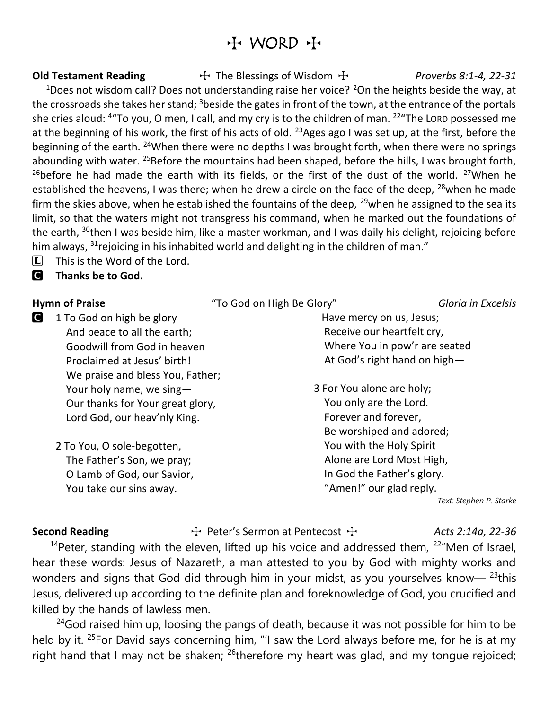## $H$  WORD  $H$

**Old Testament Reading**  $\rightarrow$  The Blessings of Wisdom  $\rightarrow$  *Proverbs 8:1-4, 22-31* 

<sup>1</sup>Does not wisdom call? Does not understanding raise her voice? <sup>2</sup>On the heights beside the way, at the crossroads she takes her stand;  $3$  beside the gates in front of the town, at the entrance of the portals she cries aloud: <sup>4</sup> To you, O men, I call, and my cry is to the children of man. <sup>22</sup> The LORD possessed me at the beginning of his work, the first of his acts of old. <sup>23</sup>Ages ago I was set up, at the first, before the beginning of the earth. <sup>24</sup>When there were no depths I was brought forth, when there were no springs abounding with water. <sup>25</sup>Before the mountains had been shaped, before the hills, I was brought forth, <sup>26</sup>before he had made the earth with its fields, or the first of the dust of the world. <sup>27</sup>When he established the heavens, I was there; when he drew a circle on the face of the deep, <sup>28</sup>when he made firm the skies above, when he established the fountains of the deep,  $^{29}$ when he assigned to the sea its limit, so that the waters might not transgress his command, when he marked out the foundations of the earth, <sup>30</sup>then I was beside him, like a master workman, and I was daily his delight, rejoicing before him always,  $31$  rejoicing in his inhabited world and delighting in the children of man."

 $\Box$  This is the Word of the Lord.

C **Thanks be to God.**

- **C** 1 To God on high be glory And peace to all the earth; Goodwill from God in heaven Proclaimed at Jesus' birth! We praise and bless You, Father; Your holy name, we sing— Our thanks for Your great glory, Lord God, our heav'nly King.
	- 2 To You, O sole-begotten, The Father's Son, we pray; O Lamb of God, our Savior, You take our sins away.

**Hymn of Praise** "To God on High Be Glory" *Gloria in Excelsis*

 Have mercy on us, Jesus; Receive our heartfelt cry, Where You in pow'r are seated At God's right hand on high—

3 For You alone are holy; You only are the Lord. Forever and forever, Be worshiped and adored; You with the Holy Spirit Alone are Lord Most High, In God the Father's glory. "Amen!" our glad reply.

*Text: Stephen P. Starke*

Second Reading **The Human Second Reading**  $\ddot{\tau}$  Peter's Sermon at Pentecost  $\ddot{\tau}$  *Acts 2:14a, 22-36* 

<sup>14</sup>Peter, standing with the eleven, lifted up his voice and addressed them,  $22^{\prime\prime}$ Men of Israel, hear these words: Jesus of Nazareth, a man attested to you by God with mighty works and wonders and signs that God did through him in your midst, as you yourselves know— $^{23}$ this Jesus, delivered up according to the definite plan and foreknowledge of God, you crucified and killed by the hands of lawless men.

 $24$ God raised him up, loosing the pangs of death, because it was not possible for him to be held by it. <sup>25</sup>For David says concerning him, "'I saw the Lord always before me, for he is at my right hand that I may not be shaken;  $^{26}$ therefore my heart was glad, and my tongue rejoiced;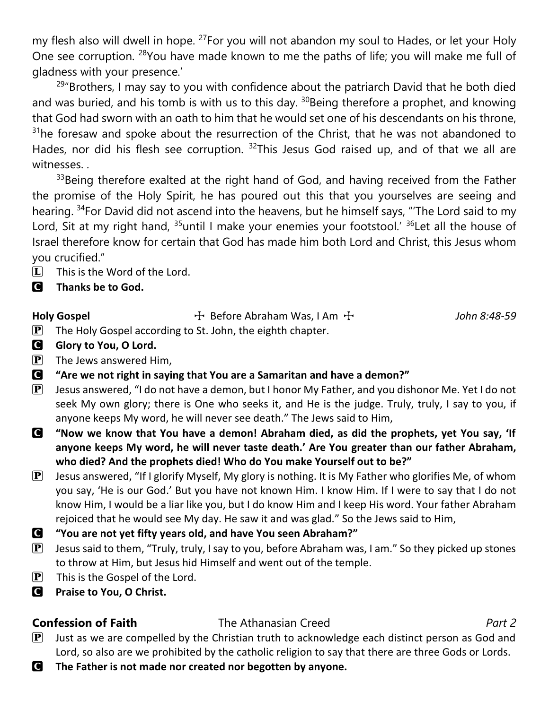my flesh also will dwell in hope. <sup>27</sup>For you will not abandon my soul to Hades, or let your Holy One see corruption. <sup>28</sup>You have made known to me the paths of life; you will make me full of gladness with your presence.'

 $29^{\circ}$ Brothers, I may say to you with confidence about the patriarch David that he both died and was buried, and his tomb is with us to this day.  $30B$ eing therefore a prophet, and knowing that God had sworn with an oath to him that he would set one of his descendants on his throne,  $31$ he foresaw and spoke about the resurrection of the Christ, that he was not abandoned to Hades, nor did his flesh see corruption. <sup>32</sup>This Jesus God raised up, and of that we all are witnesses. .

<sup>33</sup>Being therefore exalted at the right hand of God, and having received from the Father the promise of the Holy Spirit, he has poured out this that you yourselves are seeing and hearing. <sup>34</sup>For David did not ascend into the heavens, but he himself says, "'The Lord said to my Lord, Sit at my right hand,  $35$ until I make your enemies your footstool.'  $36$  Let all the house of Israel therefore know for certain that God has made him both Lord and Christ, this Jesus whom you crucified."

- $\boxed{\mathbf{L}}$  This is the Word of the Lord.
- C **Thanks be to God.**

Holy Gospel The Sefore Abraham Was, I Am T *John 8:48-59* 

- $\mathbf{P}$  The Holy Gospel according to St. John, the eighth chapter.
- **G** Glory to You, O Lord.
- $\left| \mathbf{P} \right|$  The Jews answered Him,
- C **"Are we not right in saying that You are a Samaritan and have a demon?"**
- $\bf{P}$  Jesus answered, "I do not have a demon, but I honor My Father, and you dishonor Me. Yet I do not seek My own glory; there is One who seeks it, and He is the judge. Truly, truly, I say to you, if anyone keeps My word, he will never see death." The Jews said to Him,
- C **"Now we know that You have a demon! Abraham died, as did the prophets, yet You say, 'If anyone keeps My word, he will never taste death.' Are You greater than our father Abraham, who died? And the prophets died! Who do You make Yourself out to be?"**
- $\bf{P}$  Jesus answered, "If I glorify Myself, My glory is nothing. It is My Father who glorifies Me, of whom you say, 'He is our God.' But you have not known Him. I know Him. If I were to say that I do not know Him, I would be a liar like you, but I do know Him and I keep His word. Your father Abraham rejoiced that he would see My day. He saw it and was glad." So the Jews said to Him,
- C **"You are not yet fifty years old, and have You seen Abraham?"**
- $\boxed{\mathbf{P}}$  Jesus said to them, "Truly, truly, I say to you, before Abraham was, I am." So they picked up stones to throw at Him, but Jesus hid Himself and went out of the temple.
- $\mathbf{P}$  This is the Gospel of the Lord.
- C **Praise to You, O Christ.**

### **Confession of Faith** The Athanasian Creed *Part 2*

- $\mathbf{P}$  Just as we are compelled by the Christian truth to acknowledge each distinct person as God and Lord, so also are we prohibited by the catholic religion to say that there are three Gods or Lords.
- C **The Father is not made nor created nor begotten by anyone.**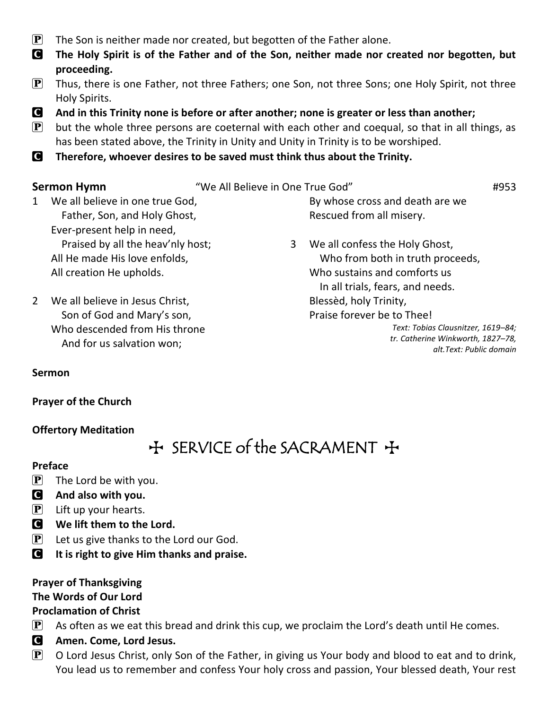- $\mathbf{P}$  The Son is neither made nor created, but begotten of the Father alone.
- C **The Holy Spirit is of the Father and of the Son, neither made nor created nor begotten, but proceeding.**
- $\mathbf{P}$  Thus, there is one Father, not three Fathers; one Son, not three Sons; one Holy Spirit, not three Holy Spirits.
- C **And in this Trinity none is before or after another; none is greater or less than another;**
- $\mathbf{P}$  but the whole three persons are coeternal with each other and coequal, so that in all things, as has been stated above, the Trinity in Unity and Unity in Trinity is to be worshiped.
- C **Therefore, whoever desires to be saved must think thus about the Trinity.**

**Sermon Hymn** "We All Believe in One True God" #953

- 1 We all believe in one true God, Father, Son, and Holy Ghost, Ever-present help in need, Praised by all the heav'nly host; All He made His love enfolds, All creation He upholds.
- 2 We all believe in Jesus Christ, Son of God and Mary's son, Who descended from His throne And for us salvation won;

By whose cross and death are we Rescued from all misery.

3 We all confess the Holy Ghost, Who from both in truth proceeds, Who sustains and comforts us In all trials, fears, and needs. Blessèd, holy Trinity, Praise forever be to Thee! *Text: Tobias Clausnitzer, 1619–84; tr. Catherine Winkworth, 1827–78,* 

*alt.Text: Public domain*

#### **Sermon**

#### **Prayer of the Church**

#### **Offertory Meditation**

## $H$  SERVICE of the SACRAMENT  $H$

#### **Preface**

- $\left[\mathbf{P}\right]$  The Lord be with you.
- C **And also with you.**
- $\left| \mathbf{P} \right|$  Lift up your hearts.
- C **We lift them to the Lord.**
- $[P]$  Let us give thanks to the Lord our God.
- C **It is right to give Him thanks and praise.**

### **Prayer of Thanksgiving**

### **The Words of Our Lord**

### **Proclamation of Christ**

- $\mathbf{P}$  As often as we eat this bread and drink this cup, we proclaim the Lord's death until He comes.
- C **Amen. Come, Lord Jesus.**
- $\mathbf{P}$  O Lord Jesus Christ, only Son of the Father, in giving us Your body and blood to eat and to drink, You lead us to remember and confess Your holy cross and passion, Your blessed death, Your rest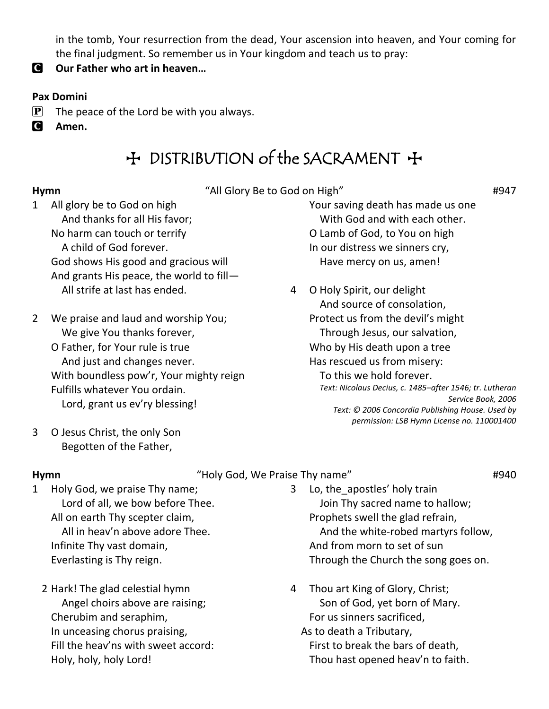in the tomb, Your resurrection from the dead, Your ascension into heaven, and Your coming for the final judgment. So remember us in Your kingdom and teach us to pray:

C **Our Father who art in heaven…**

### **Pax Domini**

- $\mathbf{P}$  The peace of the Lord be with you always.
- C **Amen.**

# + DISTRIBUTION of the SACRAMENT +

**Hymn**  $\qquad$   $\qquad$   $\qquad$   $\qquad$   $\qquad$   $\qquad$   $\qquad$   $\qquad$   $\qquad$   $\qquad$   $\qquad$   $\qquad$   $\qquad$   $\qquad$   $\qquad$   $\qquad$   $\qquad$   $\qquad$   $\qquad$   $\qquad$   $\qquad$   $\qquad$   $\qquad$   $\qquad$   $\qquad$   $\qquad$   $\qquad$   $\qquad$   $\qquad$   $\qquad$   $\qquad$   $\qquad$   $\qquad$   $\qquad$   $\qquad$   $\qquad$ 

- 1 All glory be to God on high And thanks for all His favor; No harm can touch or terrify A child of God forever. God shows His good and gracious will And grants His peace, the world to fill— All strife at last has ended.
- 2 We praise and laud and worship You; We give You thanks forever, O Father, for Your rule is true And just and changes never. With boundless pow'r, Your mighty reign Fulfills whatever You ordain. Lord, grant us ev'ry blessing!
- Your saving death has made us one With God and with each other. O Lamb of God, to You on high In our distress we sinners cry, Have mercy on us, amen!
- 4 O Holy Spirit, our delight And source of consolation, Protect us from the devil's might Through Jesus, our salvation, Who by His death upon a tree Has rescued us from misery: To this we hold forever. *Text: Nicolaus Decius, c. 1485–after 1546; tr. Lutheran Service Book, 2006 Text: © 2006 Concordia Publishing House. Used by permission: LSB Hymn License no. 110001400*

3 O Jesus Christ, the only Son Begotten of the Father,

### **Hymn**  $\qquad$   $\qquad$   $\qquad$   $\qquad$   $\qquad$   $\qquad$   $\qquad$   $\qquad$   $\qquad$   $\qquad$   $\qquad$   $\qquad$   $\qquad$   $\qquad$   $\qquad$   $\qquad$   $\qquad$   $\qquad$   $\qquad$   $\qquad$   $\qquad$   $\qquad$   $\qquad$   $\qquad$   $\qquad$   $\qquad$   $\qquad$   $\qquad$   $\qquad$   $\qquad$   $\qquad$   $\qquad$   $\qquad$   $\qquad$   $\qquad$   $\qquad$

- 1 Holy God, we praise Thy name; Lord of all, we bow before Thee. All on earth Thy scepter claim, All in heav'n above adore Thee. Infinite Thy vast domain, Everlasting is Thy reign.
	- 2 Hark! The glad celestial hymn Angel choirs above are raising; Cherubim and seraphim, In unceasing chorus praising, Fill the heav'ns with sweet accord: Holy, holy, holy Lord!
- 3 Lo, the\_apostles' holy train Join Thy sacred name to hallow; Prophets swell the glad refrain, And the white-robed martyrs follow, And from morn to set of sun Through the Church the song goes on.
- 4 Thou art King of Glory, Christ; Son of God, yet born of Mary. For us sinners sacrificed,

 As to death a Tributary, First to break the bars of death, Thou hast opened heav'n to faith.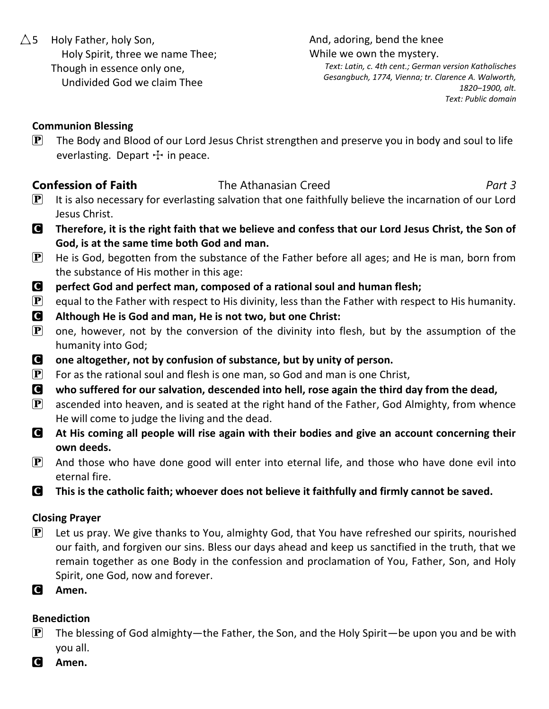$\triangle$ 5 Holy Father, holy Son, Holy Spirit, three we name Thee; Though in essence only one, Undivided God we claim Thee

And, adoring, bend the knee While we own the mystery.

*Text: Latin, c. 4th cent.; German version Katholisches Gesangbuch, 1774, Vienna; tr. Clarence A. Walworth, 1820–1900, alt. Text: Public domain*

### **Communion Blessing**

 $\left[ \mathbf{P} \right]$  The Body and Blood of our Lord Jesus Christ strengthen and preserve you in body and soul to life everlasting. Depart  $+$  in peace.

### **Confession of Faith** The Athanasian Creed *Part 3*

- 
- $\mathbf{P}$  It is also necessary for everlasting salvation that one faithfully believe the incarnation of our Lord Jesus Christ.
- C **Therefore, it is the right faith that we believe and confess that our Lord Jesus Christ, the Son of God, is at the same time both God and man.**
- $\mathbf{P}$  He is God, begotten from the substance of the Father before all ages; and He is man, born from the substance of His mother in this age:
- C **perfect God and perfect man, composed of a rational soul and human flesh;**
- $\mathbf{P}$  equal to the Father with respect to His divinity, less than the Father with respect to His humanity.
- C **Although He is God and man, He is not two, but one Christ:**
- $\mathbf{P}$  one, however, not by the conversion of the divinity into flesh, but by the assumption of the humanity into God;
- C **one altogether, not by confusion of substance, but by unity of person.**
- **P** For as the rational soul and flesh is one man, so God and man is one Christ,
- C **who suffered for our salvation, descended into hell, rose again the third day from the dead,**
- $\mathbf{P}$  ascended into heaven, and is seated at the right hand of the Father, God Almighty, from whence He will come to judge the living and the dead.
- C **At His coming all people will rise again with their bodies and give an account concerning their own deeds.**
- $\mathbf{P}$  And those who have done good will enter into eternal life, and those who have done evil into eternal fire.
- C **This is the catholic faith; whoever does not believe it faithfully and firmly cannot be saved.**

### **Closing Prayer**

- $\left| \mathbf{P} \right|$  Let us pray. We give thanks to You, almighty God, that You have refreshed our spirits, nourished our faith, and forgiven our sins. Bless our days ahead and keep us sanctified in the truth, that we remain together as one Body in the confession and proclamation of You, Father, Son, and Holy Spirit, one God, now and forever.
- C **Amen.**

### **Benediction**

- **P** The blessing of God almighty—the Father, the Son, and the Holy Spirit—be upon you and be with you all.
- C **Amen.**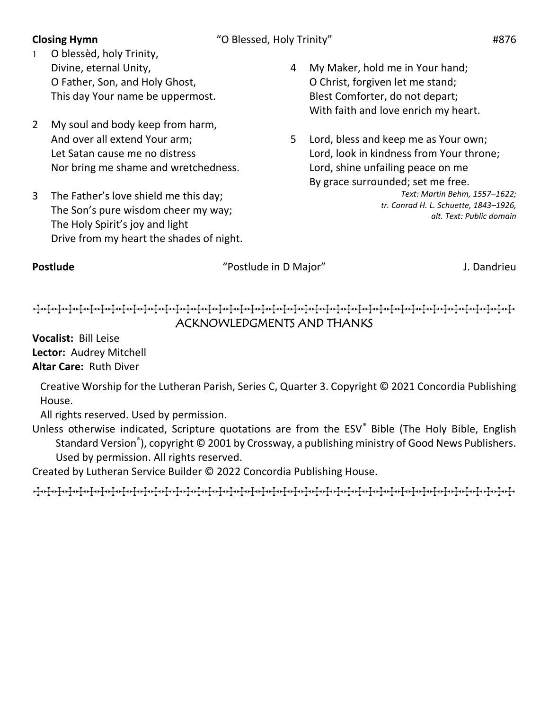- 1 O blessèd, holy Trinity, Divine, eternal Unity, O Father, Son, and Holy Ghost, This day Your name be uppermost.
- 2 My soul and body keep from harm, And over all extend Your arm; Let Satan cause me no distress Nor bring me shame and wretchedness.
- 3 The Father's love shield me this day; The Son's pure wisdom cheer my way; The Holy Spirit's joy and light Drive from my heart the shades of night.
- 4 My Maker, hold me in Your hand; O Christ, forgiven let me stand; Blest Comforter, do not depart; With faith and love enrich my heart.
- 5 Lord, bless and keep me as Your own; Lord, look in kindness from Your throne; Lord, shine unfailing peace on me By grace surrounded; set me free.

*Text: Martin Behm, 1557–1622; tr. Conrad H. L. Schuette, 1843–1926, alt. Text: Public domain*

**Postlude** The *Postlude in D Major*" and *J. Dandrieu* 

TTTTTTTTTTTTTTTTTTTTTTTTTTTTTTTTTTTTTTTTTTTTT ACKNOWLEDGMENTS AND THANKS

**Vocalist:** Bill Leise **Lector:** Audrey Mitchell **Altar Care:** Ruth Diver

Creative Worship for the Lutheran Parish, Series C, Quarter 3. Copyright © 2021 Concordia Publishing House.

All rights reserved. Used by permission.

Unless otherwise indicated, Scripture quotations are from the ESV® Bible (The Holy Bible, English Standard Version<sup>®</sup>), copyright © 2001 by Crossway, a publishing ministry of Good News Publishers. Used by permission. All rights reserved.

Created by Lutheran Service Builder © 2022 Concordia Publishing House.

TTTTTTTTTTTTTTTTTTTTTTTTTTTTTTTTTTTTTTTTTTTTT